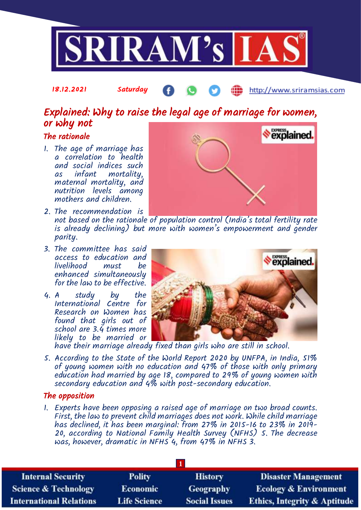

# Explained: Why to raise the legal age of marriage for women, or why not

### The rationale

1. The age of marriage has a correlation to health and social indices such as infant mortality, maternal mortality, and nutrition levels among mothers and children.

18.12.2021 Saturday



http://www.sriramsias.com

- 2. The recommendation is not based on the rationale of population control (India's total fertility rate is already declining) but more with women's empowerment and gender parity.
- 3. The committee has said access to education and<br>livelihood must be livelihood enhanced simultaneously for the law to be effective.
- 4. A study by the International Centre for Research on Women has found that girls out of school are 3.4 times more likely to be married or



have their marriage already fixed than girls who are still in school.

5. According to the State of the World Report 2020 by UNFPA, in India, 51% of young women with no education and 47% of those with only primary education had married by age 18, compared to 29% of young women with secondary education and 4% with post-secondary education.

### The opposition

1. Experts have been opposing a raised age of marriage on two broad counts. First, the law to prevent child marriages does not work. While child marriage has declined, it has been marginal: from 27% in 2015-16 to 23% in 2019- 20, according to National Family Health Survey (NFHS) 5. The decrease was, however, dramatic in NFHS 4, from 47% in NFHS 3.

| <b>Internal Security</b>        | <b>Polity</b>       | <b>History</b>       | <b>Disaster Management</b>              |
|---------------------------------|---------------------|----------------------|-----------------------------------------|
| <b>Science &amp; Technology</b> | Economic            | <b>Geography</b>     | <b>Ecology &amp; Environment</b>        |
| <b>International Relations</b>  | <b>Life Science</b> | <b>Social Issues</b> | <b>Ethics, Integrity &amp; Aptitude</b> |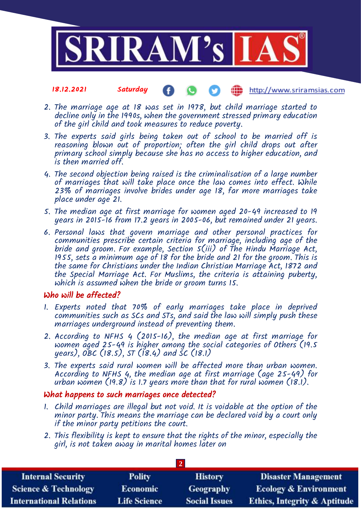

#### 18.12.2021 Saturday http://www.sriramsias.com

- 2. The marriage age at 18 was set in 1978, but child marriage started to decline only in the 1990s, when the government stressed primary education of the girl child and took measures to reduce poverty.
- 3. The experts said girls being taken out of school to be married off is reasoning blown out of proportion; often the girl child drops out after primary school simply because she has no access to higher education, and is then married off.
- 4. The second objection being raised is the criminalisation of a large number of marriages that will take place once the law comes into effect. While 23% of marriages involve brides under age 18, far more marriages take place under age 21.
- 5. The median age at first marriage for women aged 20-49 increased to 19 years in 2015-16 from 17.2 years in 2005-06, but remained under 21 years.
- 6. Personal laws that govern marriage and other personal practices for communities prescribe certain criteria for marriage, including age of the bride and groom. For example, Section 5(iii) of The Hindu Marriage Act, 1955, sets a minimum age of 18 for the bride and 21 for the groom. This is the same for Christians under the Indian Christian Marriage Act, 1872 and the Special Marriage Act. For Muslims, the criteria is attaining puberty, which is assumed when the bride or groom turns 15.

#### Who will be affected?

- 1. Experts noted that 70% of early marriages take place in deprived communities such as SCs and STs, and said the law will simply push these marriages underground instead of preventing them.
- 2. According to NFHS 4 (2015-16), the median age at first marriage for women aged 25-49 is higher among the social categories of Others (19.5 years), OBC (18.5), ST (18.4) and SC (18.1)
- 3. The experts said rural women will be affected more than urban women. According to NFHS 4, the median age at first marriage (age 25-49) for urban women  $(19.8)$  is 1.7 years more than that for rural women  $(18.1)$ .

#### What happens to such marriages once detected?

- 1. Child marriages are illegal but not void. It is voidable at the option of the minor party. This means the marriage can be declared void by a court only if the minor party petitions the court.
- 2. This flexibility is kept to ensure that the rights of the minor, especially the girl, is not taken away in marital homes later on

| <b>Internal Security</b>        | <b>Polity</b>       | <b>History</b>       | <b>Disaster Management</b>              |
|---------------------------------|---------------------|----------------------|-----------------------------------------|
| <b>Science &amp; Technology</b> | <b>Economic</b>     | <b>Geography</b>     | <b>Ecology &amp; Environment</b>        |
| <b>International Relations</b>  | <b>Life Science</b> | <b>Social Issues</b> | <b>Ethics, Integrity &amp; Aptitude</b> |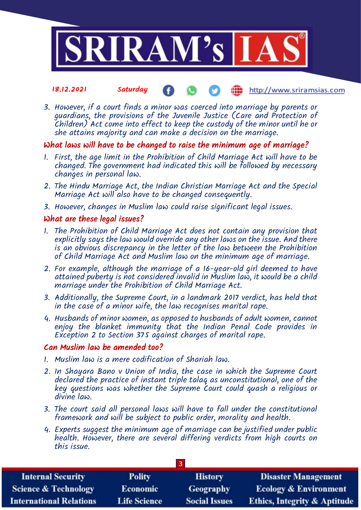

#### 18.12.2021 Saturday http://www.sriramsias.com

3. However, if a court finds a minor was coerced into marriage by parents or guardians, the provisions of the Juvenile Justice (Care and Protection of Children) Act come into effect to keep the custody of the minor until he or she attains majority and can make a decision on the marriage.

### What laws will have to be changed to raise the minimum age of marriage?

- 1. First, the age limit in the Prohibition of Child Marriage Act will have to be changed. The government had indicated this will be followed by necessary changes in personal law.
- 2. The Hindu Marriage Act, the Indian Christian Marriage Act and the Special Marriage Act will also have to be changed consequently.
- 3. However, changes in Muslim law could raise significant legal issues.

### What are these legal issues?

- 1. The Prohibition of Child Marriage Act does not contain any provision that explicitly says the law would override any other laws on the issue. And there is an obvious discrepancy in the letter of the law between the Prohibition of Child Marriage Act and Muslim law on the minimum age of marriage.
- 2. For example, although the marriage of a 16-year-old girl deemed to have attained puberty is not considered invalid in Muslim law, it would be a child marriage under the Prohibition of Child Marriage Act.
- 3. Additionally, the Supreme Court, in a landmark 2017 verdict, has held that in the case of a minor wife, the law recognises marital rape.
- 4. Husbands of minor women, as opposed to husbands of adult women, cannot enjoy the blanket immunity that the Indian Penal Code provides in Exception 2 to Section 375 against charges of marital rape.

#### Can Muslim law be amended too?

- 1. Muslim law is a mere codification of Shariah law.
- 2. In Shayara Bano v Union of India, the case in which the Supreme Court declared the practice of instant triple talaq as unconstitutional, one of the key questions was whether the Supreme Court could quash a religious or divine law.
- 3. The court said all personal laws will have to fall under the constitutional framework and will be subject to public order, morality and health.
- 4. Experts suggest the minimum age of marriage can be justified under public health. However, there are several differing verdicts from high courts on this issue.

| <b>Internal Security</b>        | <b>Polity</b>       | <b>History</b>       | <b>Disaster Management</b>              |
|---------------------------------|---------------------|----------------------|-----------------------------------------|
| <b>Science &amp; Technology</b> | Economic            | Geography            | <b>Ecology &amp; Environment</b>        |
| <b>International Relations</b>  | <b>Life Science</b> | <b>Social Issues</b> | <b>Ethics, Integrity &amp; Aptitude</b> |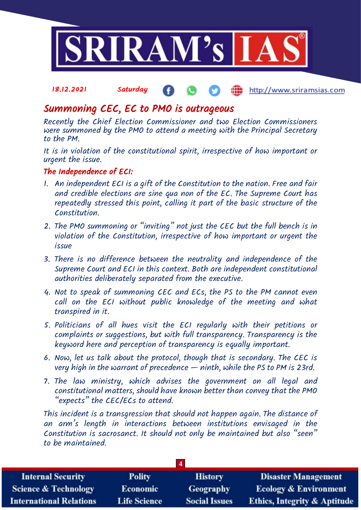

#### 18.12.2021 Saturday http://www.sriramsias.com

## Summoning CEC, EC to PMO is outrageous

Recently the Chief Election Commissioner and two Election Commissioners were summoned by the PMO to attend a meeting with the Principal Secretary to the PM.

It is in violation of the constitutional spirit, irrespective of how important or urgent the issue.

### The Independence of ECI:

- 1. An independent ECI is a gift of the Constitution to the nation. Free and fair and credible elections are sine qua non of the EC. The Supreme Court has repeatedly stressed this point, calling it part of the basic structure of the Constitution.
- 2. The PMO summoning or "inviting" not just the CEC but the full bench is in violation of the Constitution, irrespective of how important or urgent the issue
- 3. There is no difference between the neutrality and independence of the Supreme Court and ECI in this context. Both are independent constitutional authorities deliberately separated from the executive.
- 4. Not to speak of summoning CEC and ECs, the PS to the PM cannot even call on the ECI without public knowledge of the meeting and what transpired in it.
- 5. Politicians of all hues visit the ECI regularly with their petitions or complaints or suggestions, but with full transparency. Transparency is the keyword here and perception of transparency is equally important.
- 6. Now, let us talk about the protocol, though that is secondary. The CEC is very high in the warrant of precedence — ninth, while the PS to PM is 23rd.
- 7. The law ministry, which advises the government on all legal and constitutional matters, should have known better than convey that the PMO "expects" the CEC/ECs to attend.

This incident is a transgression that should not happen again. The distance of an arm's length in interactions between institutions envisaged in the Constitution is sacrosanct. It should not only be maintained but also "seen" to be maintained.

| <b>Internal Security</b>        | <b>Polity</b>       | <b>History</b>       | <b>Disaster Management</b>              |
|---------------------------------|---------------------|----------------------|-----------------------------------------|
| <b>Science &amp; Technology</b> | <b>Economic</b>     | Geography            | <b>Ecology &amp; Environment</b>        |
| <b>International Relations</b>  | <b>Life Science</b> | <b>Social Issues</b> | <b>Ethics, Integrity &amp; Aptitude</b> |